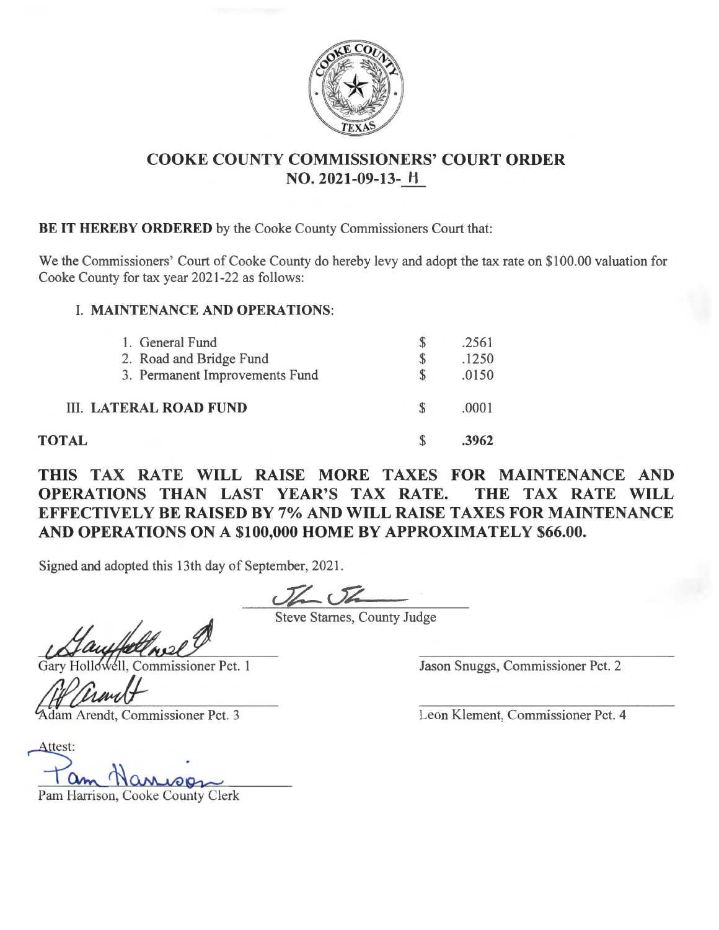

## **COOKE COUNTY COMMISSIONERS' COURT ORDER NO. 2021-09-13- Ii**

**BE IT HEREBY ORDERED** by the Cooke County Commissioners Court that:

We the Commissioners' Court of Cooke County do hereby levy and adopt the tax rate on \$100.00 valuation for Cooke County for tax year 2021-22 as follows:

## **I. MAINTENANCE AND OPERATIONS:**

| 1. General Fund<br>2. Road and Bridge Fund<br>3. Permanent Improvements Fund | .2561<br>.1250<br>.0150 |
|------------------------------------------------------------------------------|-------------------------|
| <b>III. LATERAL ROAD FUND</b>                                                | .0001                   |
| $\mathsf{r}\mathbf{A}\mathbf{L}$                                             | 3962                    |

**THIS TAX RATE WILL RAISE MORE TAXES FOR MAINTENANCE AND OPERATIONS THAN LAST YEAR'S TAX RATE. THE TAX RATE WILL EFFECTIVELY BE RAISED BY 7% AND WILL RAISE TAXES FOR MAINTENANCE AND OPERATIONS ON A \$100,000 HOME BY APPROXIMATELY \$66.00.** 

Signed and adopted this 13th day of September, 2021.

Steve Starnes, County Judge

Gary Hollowell, Commissioner Pct. 1<br> **Adam Arendt, Commissioner Pct. 3 Leon Klement, Commissioner Pct. 4**<br> **Adam Arendt, Commissioner Pct. 3 Leon Klement, Commissioner Pct. 4** 

**TOTAL** 

Gary Hollands Jason Snuggs, Commissioner Pct. 2

Attest:

Pam Harrison, Cooke County Clerk